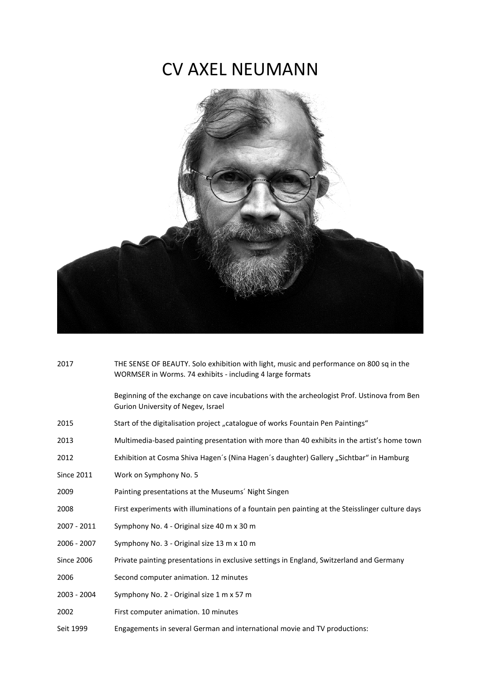## CV AXEL NEUMANN



| 2017              | THE SENSE OF BEAUTY. Solo exhibition with light, music and performance on 800 sq in the<br>WORMSER in Worms. 74 exhibits - including 4 large formats |
|-------------------|------------------------------------------------------------------------------------------------------------------------------------------------------|
|                   | Beginning of the exchange on cave incubations with the archeologist Prof. Ustinova from Ben<br>Gurion University of Negev, Israel                    |
| 2015              | Start of the digitalisation project "catalogue of works Fountain Pen Paintings"                                                                      |
| 2013              | Multimedia-based painting presentation with more than 40 exhibits in the artist's home town                                                          |
| 2012              | Exhibition at Cosma Shiva Hagen's (Nina Hagen's daughter) Gallery "Sichtbar" in Hamburg                                                              |
| <b>Since 2011</b> | Work on Symphony No. 5                                                                                                                               |
| 2009              | Painting presentations at the Museums' Night Singen                                                                                                  |
| 2008              | First experiments with illuminations of a fountain pen painting at the Steisslinger culture days                                                     |
| 2007 - 2011       | Symphony No. 4 - Original size 40 m x 30 m                                                                                                           |
| 2006 - 2007       | Symphony No. 3 - Original size 13 m x 10 m                                                                                                           |
| <b>Since 2006</b> | Private painting presentations in exclusive settings in England, Switzerland and Germany                                                             |
| 2006              | Second computer animation. 12 minutes                                                                                                                |
| 2003 - 2004       | Symphony No. 2 - Original size 1 m x 57 m                                                                                                            |
| 2002              | First computer animation. 10 minutes                                                                                                                 |
| Seit 1999         | Engagements in several German and international movie and TV productions:                                                                            |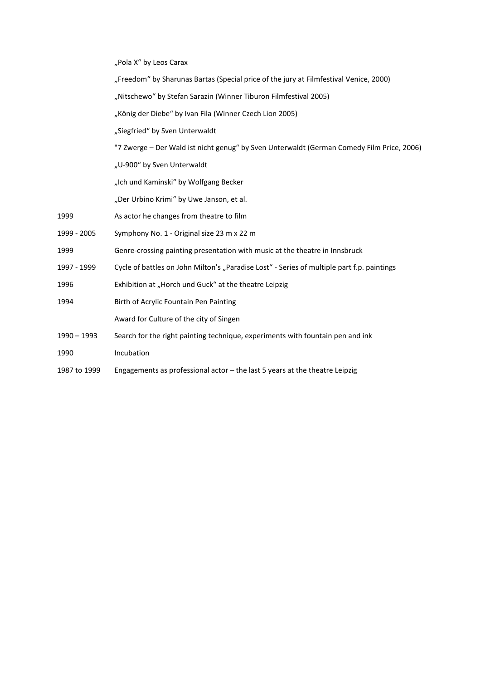"Pola X" by Leos Carax

- "Freedom" by Sharunas Bartas (Special price of the jury at Filmfestival Venice, 2000)
- "Nitschewo" by Stefan Sarazin (Winner Tiburon Filmfestival 2005)
- "König der Diebe" by Ivan Fila (Winner Czech Lion 2005)
- "Siegfried" by Sven Unterwaldt
- "7 Zwerge Der Wald ist nicht genug" by Sven Unterwaldt (German Comedy Film Price, 2006)
- "U-900" by Sven Unterwaldt
- "Ich und Kaminski" by Wolfgang Becker
- "Der Urbino Krimi" by Uwe Janson, et al.
- 1999 As actor he changes from theatre to film
- 1999 2005 Symphony No. 1 Original size 23 m x 22 m
- 1999 Genre-crossing painting presentation with music at the theatre in Innsbruck
- 1997 1999 Cycle of battles on John Milton's "Paradise Lost" Series of multiple part f.p. paintings
- 1996 Exhibition at "Horch und Guck" at the theatre Leipzig
- 1994 Birth of Acrylic Fountain Pen Painting
	- Award for Culture of the city of Singen
- 1990 1993 Search for the right painting technique, experiments with fountain pen and ink
- 1990 Incubation
- 1987 to 1999 Engagements as professional actor the last 5 years at the theatre Leipzig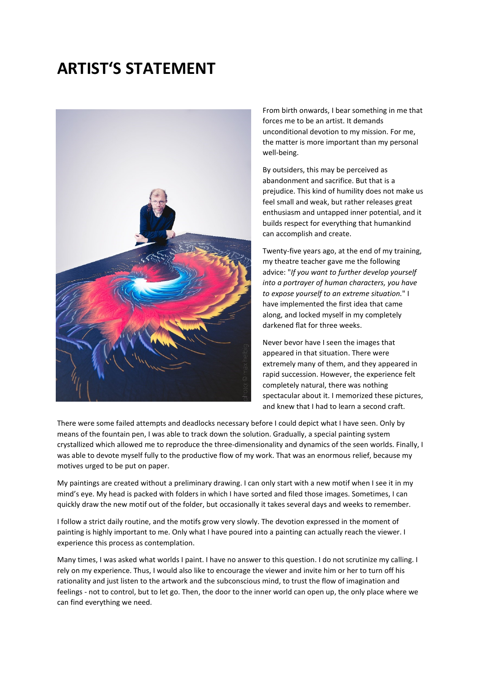## **ARTIST'S STATEMENT**



From birth onwards, I bear something in me that forces me to be an artist. It demands unconditional devotion to my mission. For me, the matter is more important than my personal well-being.

By outsiders, this may be perceived as abandonment and sacrifice. But that is a prejudice. This kind of humility does not make us feel small and weak, but rather releases great enthusiasm and untapped inner potential, and it builds respect for everything that humankind can accomplish and create.

Twenty-five years ago, at the end of my training, my theatre teacher gave me the following advice: "*If you want to further develop yourself into a portrayer of human characters, you have to expose yourself to an extreme situation.*" I have implemented the first idea that came along, and locked myself in my completely darkened flat for three weeks.

Never bevor have I seen the images that appeared in that situation. There were extremely many of them, and they appeared in rapid succession. However, the experience felt completely natural, there was nothing spectacular about it. I memorized these pictures, and knew that I had to learn a second craft.

There were some failed attempts and deadlocks necessary before I could depict what I have seen. Only by means of the fountain pen, I was able to track down the solution. Gradually, a special painting system crystallized which allowed me to reproduce the three-dimensionality and dynamics of the seen worlds. Finally, I was able to devote myself fully to the productive flow of my work. That was an enormous relief, because my motives urged to be put on paper.

My paintings are created without a preliminary drawing. I can only start with a new motif when I see it in my mind's eye. My head is packed with folders in which I have sorted and filed those images. Sometimes, I can quickly draw the new motif out of the folder, but occasionally it takes several days and weeks to remember.

I follow a strict daily routine, and the motifs grow very slowly. The devotion expressed in the moment of painting is highly important to me. Only what I have poured into a painting can actually reach the viewer. I experience this process as contemplation.

Many times, I was asked what worlds I paint. I have no answer to this question. I do not scrutinize my calling. I rely on my experience. Thus, I would also like to encourage the viewer and invite him or her to turn off his rationality and just listen to the artwork and the subconscious mind, to trust the flow of imagination and feelings - not to control, but to let go. Then, the door to the inner world can open up, the only place where we can find everything we need.